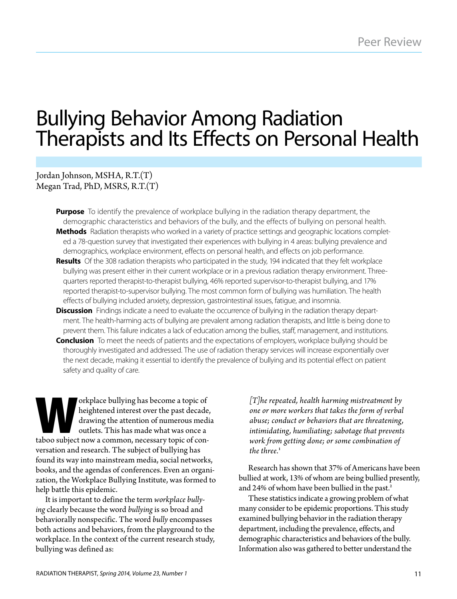# Bullying Behavior Among Radiation Therapists and Its Effects on Personal Health

# Jordan Johnson, MSHA, R.T.(T) Megan Trad, PhD, MSRS, R.T.(T)

- **Purpose** To identify the prevalence of workplace bullying in the radiation therapy department, the demographic characteristics and behaviors of the bully, and the effects of bullying on personal health. **Methods** Radiation therapists who worked in a variety of practice settings and geographic locations completed a 78-question survey that investigated their experiences with bullying in 4 areas: bullying prevalence and demographics, workplace environment, effects on personal health, and effects on job performance.
- **Results** Of the 308 radiation therapists who participated in the study, 194 indicated that they felt workplace bullying was present either in their current workplace or in a previous radiation therapy environment. Threequarters reported therapist-to-therapist bullying, 46% reported supervisor-to-therapist bullying, and 17% reported therapist-to-supervisor bullying. The most common form of bullying was humiliation. The health effects of bullying included anxiety, depression, gastrointestinal issues, fatigue, and insomnia.
- **Discussion** Findings indicate a need to evaluate the occurrence of bullying in the radiation therapy department. The health-harming acts of bullying are prevalent among radiation therapists, and little is being done to prevent them. This failure indicates a lack of education among the bullies, staff, management, and institutions. **Conclusion** To meet the needs of patients and the expectations of employers, workplace bullying should be
- thoroughly investigated and addressed. The use of radiation therapy services will increase exponentially over the next decade, making it essential to identify the prevalence of bullying and its potential effect on patient safety and quality of care.

orkplace bullying has become a topic of<br>heightened interest over the past decade<br>drawing the attention of numerous med<br>outlets. This has made what was once a<br>taboo subject now a common. necessary topic of conheightened interest over the past decade, drawing the attention of numerous media outlets. This has made what was once a taboo subject now a common, necessary topic of conversation and research. The subject of bullying has found its way into mainstream media, social networks, books, and the agendas of conferences. Even an organization, the Workplace Bullying Institute, was formed to help battle this epidemic.

It is important to define the term *workplace bullying* clearly because the word *bullying* is so broad and behaviorally nonspecific. The word *bully* encompasses both actions and behaviors, from the playground to the workplace. In the context of the current research study, bullying was defined as:

*[T]he repeated, health harming mistreatment by one or more workers that takes the form of verbal abuse; conduct or behaviors that are threatening, intimidating, humiliating; sabotage that prevents work from getting done; or some combination of the three.*<sup>1</sup>

Research has shown that 37% of Americans have been bullied at work, 13% of whom are being bullied presently, and 24% of whom have been bullied in the past.<sup>2</sup>

These statistics indicate a growing problem of what many consider to be epidemic proportions. This study examined bullying behavior in the radiation therapy department, including the prevalence, effects, and demographic characteristics and behaviors of the bully. Information also was gathered to better understand the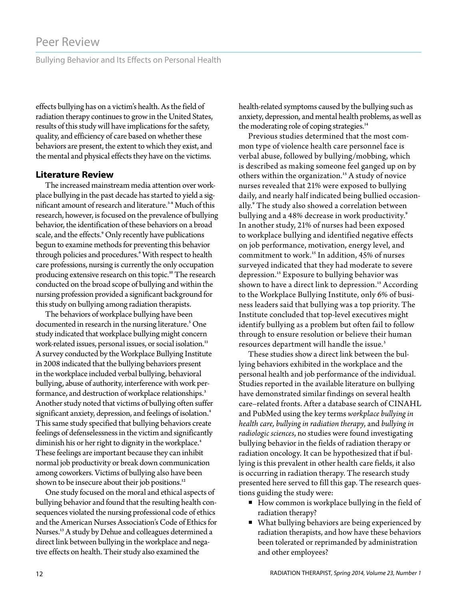Bullying Behavior and Its Effects on Personal Health

effects bullying has on a victim's health. As the field of radiation therapy continues to grow in the United States, results of this study will have implications for the safety, quality, and efficiency of care based on whether these behaviors are present, the extent to which they exist, and the mental and physical effects they have on the victims.

# **Literature Review**

The increased mainstream media attention over workplace bullying in the past decade has started to yield a significant amount of research and literature.<sup>3-8</sup> Much of this research, however, is focused on the prevalence of bullying behavior, the identification of these behaviors on a broad scale, and the effects.<sup>9</sup> Only recently have publications begun to examine methods for preventing this behavior through policies and procedures.<sup>6</sup> With respect to health care professions, nursing is currently the only occupation producing extensive research on this topic.<sup>10</sup> The research conducted on the broad scope of bullying and within the nursing profession provided a significant background for this study on bullying among radiation therapists.

The behaviors of workplace bullying have been documented in research in the nursing literature.<sup>5</sup> One study indicated that workplace bullying might concern work-related issues, personal issues, or social isolation.<sup>11</sup> A survey conducted by the Workplace Bullying Institute in 2008 indicated that the bullying behaviors present in the workplace included verbal bullying, behavioral bullying, abuse of authority, interference with work performance, and destruction of workplace relationships.<sup>3</sup> Another study noted that victims of bullying often suffer significant anxiety, depression, and feelings of isolation.<sup>4</sup> This same study specified that bullying behaviors create feelings of defenselessness in the victim and significantly diminish his or her right to dignity in the workplace.<sup>4</sup> These feelings are important because they can inhibit normal job productivity or break down communication among coworkers. Victims of bullying also have been shown to be insecure about their job positions.<sup>12</sup>

One study focused on the moral and ethical aspects of bullying behavior and found that the resulting health consequences violated the nursing professional code of ethics and the American Nurses Association's Code of Ethics for Nurses.<sup>13</sup> A study by Dehue and colleagues determined a direct link between bullying in the workplace and negative effects on health. Their study also examined the

health-related symptoms caused by the bullying such as anxiety, depression, and mental health problems, as well as the moderating role of coping strategies.<sup>14</sup>

Previous studies determined that the most common type of violence health care personnel face is verbal abuse, followed by bullying/mobbing, which is described as making someone feel ganged up on by others within the organization.<sup>15</sup> A study of novice nurses revealed that 21% were exposed to bullying daily, and nearly half indicated being bullied occasionally.<sup>9</sup> The study also showed a correlation between bullying and a 48% decrease in work productivity.9 In another study, 21% of nurses had been exposed to workplace bullying and identified negative effects on job performance, motivation, energy level, and commitment to work.<sup>15</sup> In addition, 45% of nurses surveyed indicated that they had moderate to severe depression.<sup>15</sup> Exposure to bullying behavior was shown to have a direct link to depression.<sup>15</sup> According to the Workplace Bullying Institute, only 6% of business leaders said that bullying was a top priority. The Institute concluded that top-level executives might identify bullying as a problem but often fail to follow through to ensure resolution or believe their human resources department will handle the issue.<sup>3</sup>

These studies show a direct link between the bullying behaviors exhibited in the workplace and the personal health and job performance of the individual. Studies reported in the available literature on bullying have demonstrated similar findings on several health care–related fronts. After a database search of CINAHL and PubMed using the key terms *workplace bullying in health care, bullying in radiation therapy*, and *bullying in radiologic sciences*, no studies were found investigating bullying behavior in the fields of radiation therapy or radiation oncology. It can be hypothesized that if bullying is this prevalent in other health care fields, it also is occurring in radiation therapy. The research study presented here served to fill this gap. The research questions guiding the study were:

- $\blacksquare$  How common is workplace bullying in the field of radiation therapy?
- What bullying behaviors are being experienced by radiation therapists, and how have these behaviors been tolerated or reprimanded by administration and other employees?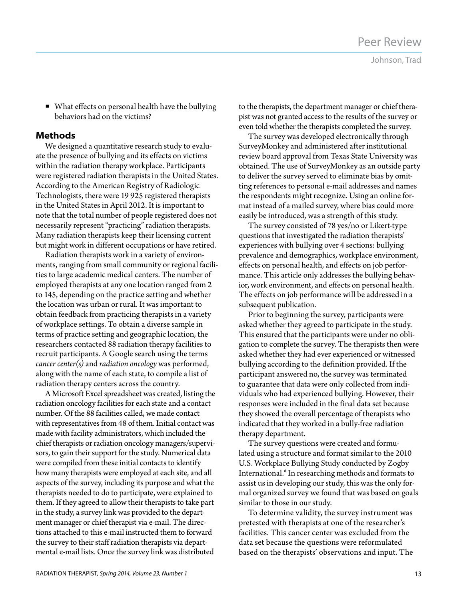Johnson, Trad

■ What effects on personal health have the bullying behaviors had on the victims?

# **Methods**

We designed a quantitative research study to evaluate the presence of bullying and its effects on victims within the radiation therapy workplace. Participants were registered radiation therapists in the United States. According to the American Registry of Radiologic Technologists, there were 19 925 registered therapists in the United States in April 2012. It is important to note that the total number of people registered does not necessarily represent "practicing" radiation therapists. Many radiation therapists keep their licensing current but might work in different occupations or have retired.

Radiation therapists work in a variety of environments, ranging from small community or regional facilities to large academic medical centers. The number of employed therapists at any one location ranged from 2 to 145, depending on the practice setting and whether the location was urban or rural. It was important to obtain feedback from practicing therapists in a variety of workplace settings. To obtain a diverse sample in terms of practice setting and geographic location, the researchers contacted 88 radiation therapy facilities to recruit participants. A Google search using the terms *cancer center(s)* and *radiation oncology* was performed, along with the name of each state, to compile a list of radiation therapy centers across the country.

A Microsoft Excel spreadsheet was created, listing the radiation oncology facilities for each state and a contact number. Of the 88 facilities called, we made contact with representatives from 48 of them. Initial contact was made with facility administrators, which included the chief therapists or radiation oncology managers/supervisors, to gain their support for the study. Numerical data were compiled from these initial contacts to identify how many therapists were employed at each site, and all aspects of the survey, including its purpose and what the therapists needed to do to participate, were explained to them. If they agreed to allow their therapists to take part in the study, a survey link was provided to the department manager or chief therapist via e-mail. The directions attached to this e-mail instructed them to forward the survey to their staff radiation therapists via departmental e-mail lists. Once the survey link was distributed

to the therapists, the department manager or chief therapist was not granted access to the results of the survey or even told whether the therapists completed the survey.

The survey was developed electronically through SurveyMonkey and administered after institutional review board approval from Texas State University was obtained. The use of SurveyMonkey as an outside party to deliver the survey served to eliminate bias by omitting references to personal e-mail addresses and names the respondents might recognize. Using an online format instead of a mailed survey, where bias could more easily be introduced, was a strength of this study.

The survey consisted of 78 yes/no or Likert-type questions that investigated the radiation therapists' experiences with bullying over 4 sections: bullying prevalence and demographics, workplace environment, effects on personal health, and effects on job performance. This article only addresses the bullying behavior, work environment, and effects on personal health. The effects on job performance will be addressed in a subsequent publication.

Prior to beginning the survey, participants were asked whether they agreed to participate in the study. This ensured that the participants were under no obligation to complete the survey. The therapists then were asked whether they had ever experienced or witnessed bullying according to the definition provided. If the participant answered no, the survey was terminated to guarantee that data were only collected from individuals who had experienced bullying. However, their responses were included in the final data set because they showed the overall percentage of therapists who indicated that they worked in a bully-free radiation therapy department.

The survey questions were created and formulated using a structure and format similar to the 2010 U.S. Workplace Bullying Study conducted by Zogby International.<sup>6</sup> In researching methods and formats to assist us in developing our study, this was the only formal organized survey we found that was based on goals similar to those in our study.

To determine validity, the survey instrument was pretested with therapists at one of the researcher's facilities. This cancer center was excluded from the data set because the questions were reformulated based on the therapists' observations and input. The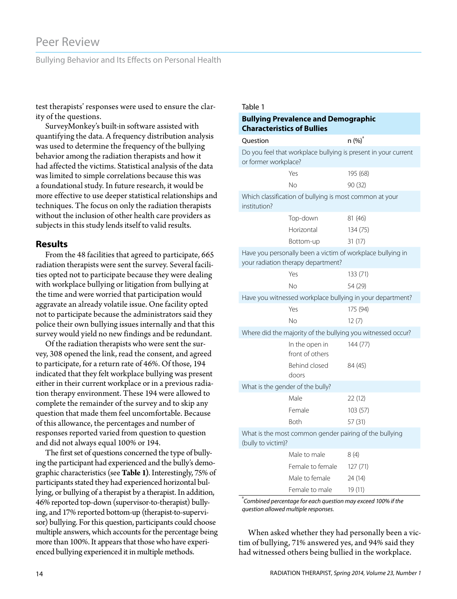# Peer Review

Bullying Behavior and Its Effects on Personal Health

test therapists' responses were used to ensure the clarity of the questions.

SurveyMonkey's built-in software assisted with quantifying the data. A frequency distribution analysis was used to determine the frequency of the bullying behavior among the radiation therapists and how it had affected the victims. Statistical analysis of the data was limited to simple correlations because this was a foundational study. In future research, it would be more effective to use deeper statistical relationships and techniques. The focus on only the radiation therapists without the inclusion of other health care providers as subjects in this study lends itself to valid results.

## **Results**

From the 48 facilities that agreed to participate, 665 radiation therapists were sent the survey. Several facilities opted not to participate because they were dealing with workplace bullying or litigation from bullying at the time and were worried that participation would aggravate an already volatile issue. One facility opted not to participate because the administrators said they police their own bullying issues internally and that this survey would yield no new findings and be redundant.

Of the radiation therapists who were sent the survey, 308 opened the link, read the consent, and agreed to participate, for a return rate of 46%. Of those, 194 indicated that they felt workplace bullying was present either in their current workplace or in a previous radiation therapy environment. These 194 were allowed to complete the remainder of the survey and to skip any question that made them feel uncomfortable. Because of this allowance, the percentages and number of responses reported varied from question to question and did not always equal 100% or 194.

The first set of questions concerned the type of bullying the participant had experienced and the bully's demographic characteristics (see **Table 1)**. Interestingly, 75% of participants stated they had experienced horizontal bullying, or bullying of a therapist by a therapist. In addition, 46% reported top-down (supervisor-to-therapist) bullying, and 17% reported bottom-up (therapist-to-supervisor) bullying. For this question, participants could choose multiple answers, which accounts for the percentage being more than 100%. It appears that those who have experienced bullying experienced it in multiple methods.

#### Table 1

#### **Bullying Prevalence and Demographic Characteristics of Bullies**

|                      | ומומכנכוואנוכא טו שעוווכא                               |                                                                |
|----------------------|---------------------------------------------------------|----------------------------------------------------------------|
| Question             |                                                         | $n (\%)^3$                                                     |
| or former workplace? |                                                         | Do you feel that workplace bullying is present in your current |
|                      | Yes                                                     | 195 (68)                                                       |
|                      | No                                                      | 90 (32)                                                        |
| institution?         | Which classification of bullying is most common at your |                                                                |
|                      | Top-down                                                | 81 (46)                                                        |
|                      | Horizontal                                              | 134 (75)                                                       |
|                      | Bottom-up                                               | 31 (17)                                                        |
|                      | your radiation therapy department?                      | Have you personally been a victim of workplace bullying in     |
|                      | Yes                                                     | 133 (71)                                                       |
|                      | Nο                                                      | 54 (29)                                                        |
|                      |                                                         | Have you witnessed workplace bullying in your department?      |
|                      | Yes                                                     | 175 (94)                                                       |
|                      | No                                                      | 12(7)                                                          |
|                      |                                                         | Where did the majority of the bullying you witnessed occur?    |
|                      | In the open in<br>front of others                       | 144 (77)                                                       |
|                      | Behind closed<br>doors                                  | 84 (45)                                                        |
|                      | What is the gender of the bully?                        |                                                                |
|                      | Male                                                    | 22 (12)                                                        |
|                      | Female                                                  | 103(57)                                                        |
|                      | <b>Both</b>                                             | 57 (31)                                                        |
| (bully to victim)?   |                                                         | What is the most common gender pairing of the bullying         |
|                      | Male to male                                            | 8(4)                                                           |
|                      | Female to female                                        | 127(71)                                                        |
|                      | Male to female                                          | 24 (14)                                                        |
|                      | Female to male                                          | 19 (11)                                                        |

a *Combined percentage for each question may exceed 100% if the question allowed multiple responses.*

When asked whether they had personally been a victim of bullying, 71% answered yes, and 94% said they had witnessed others being bullied in the workplace.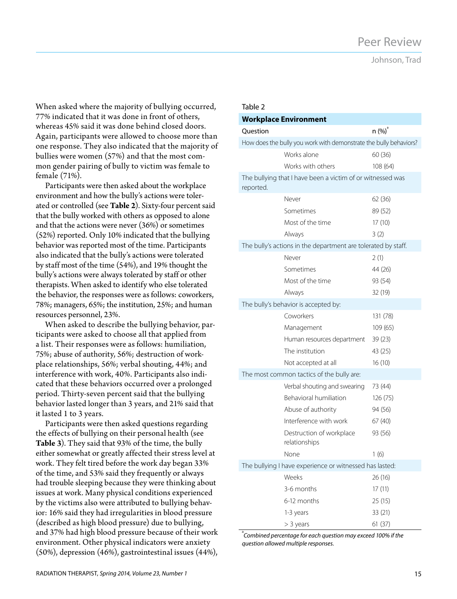Johnson, Trad

When asked where the majority of bullying occurred, 77% indicated that it was done in front of others, whereas 45% said it was done behind closed doors. Again, participants were allowed to choose more than one response. They also indicated that the majority of bullies were women (57%) and that the most common gender pairing of bully to victim was female to female (71%).

Participants were then asked about the workplace environment and how the bully's actions were tolerated or controlled (see **Table 2**). Sixty-four percent said that the bully worked with others as opposed to alone and that the actions were never (36%) or sometimes (52%) reported. Only 10% indicated that the bullying behavior was reported most of the time. Participants also indicated that the bully's actions were tolerated by staff most of the time (54%), and 19% thought the bully's actions were always tolerated by staff or other therapists. When asked to identify who else tolerated the behavior, the responses were as follows: coworkers, 78%; managers, 65%; the institution, 25%; and human resources personnel, 23%.

When asked to describe the bullying behavior, participants were asked to choose all that applied from a list. Their responses were as follows: humiliation, 75%; abuse of authority, 56%; destruction of workplace relationships, 56%; verbal shouting, 44%; and interference with work, 40%. Participants also indicated that these behaviors occurred over a prolonged period. Thirty-seven percent said that the bullying behavior lasted longer than 3 years, and 21% said that it lasted 1 to 3 years.

Participants were then asked questions regarding the effects of bullying on their personal health (see **Table 3**). They said that 93% of the time, the bully either somewhat or greatly affected their stress level at work. They felt tired before the work day began 33% of the time, and 53% said they frequently or always had trouble sleeping because they were thinking about issues at work. Many physical conditions experienced by the victims also were attributed to bullying behavior: 16% said they had irregularities in blood pressure (described as high blood pressure) due to bullying, and 37% had high blood pressure because of their work environment. Other physical indicators were anxiety (50%), depression (46%), gastrointestinal issues (44%),

#### Table 2

| <b>Workplace Environment</b> |                                                                   |                    |  |  |
|------------------------------|-------------------------------------------------------------------|--------------------|--|--|
| Question                     |                                                                   | n (%) <sup>ª</sup> |  |  |
|                              | How does the bully you work with demonstrate the bully behaviors? |                    |  |  |
|                              | Works alone                                                       | 60 (36)            |  |  |
|                              | Works with others                                                 | 108 (64)           |  |  |
| reported.                    | The bullying that I have been a victim of or witnessed was        |                    |  |  |
|                              | Never                                                             | 62 (36)            |  |  |
|                              | Sometimes                                                         | 89 (52)            |  |  |
|                              | Most of the time                                                  | 17(10)             |  |  |
|                              | Always                                                            | 3(2)               |  |  |
|                              | The bully's actions in the department are tolerated by staff.     |                    |  |  |
|                              | Never                                                             | 2(1)               |  |  |
|                              | Sometimes                                                         | 44 (26)            |  |  |
|                              | Most of the time                                                  | 93 (54)            |  |  |
|                              | Always                                                            | 32 (19)            |  |  |
|                              | The bully's behavior is accepted by:                              |                    |  |  |
|                              | Coworkers                                                         | 131 (78)           |  |  |
|                              | Management                                                        | 109 (65)           |  |  |
|                              | Human resources department                                        | 39(23)             |  |  |
|                              | The institution                                                   | 43 (25)            |  |  |
|                              | Not accepted at all                                               | 16(10)             |  |  |
|                              | The most common tactics of the bully are:                         |                    |  |  |
|                              | Verbal shouting and swearing                                      | 73 (44)            |  |  |
|                              | <b>Behavioral humiliation</b>                                     | 126 (75)           |  |  |
|                              | Abuse of authority                                                | 94 (56)            |  |  |
|                              | Interference with work                                            | 67 (40)            |  |  |
|                              | Destruction of workplace<br>relationships                         | 93 (56)            |  |  |
|                              | None                                                              | 1(6)               |  |  |
|                              | The bullying I have experience or witnessed has lasted:           |                    |  |  |
|                              | Weeks                                                             | 26 (16)            |  |  |
|                              | 3-6 months                                                        | 17(11)             |  |  |
|                              | 6-12 months                                                       | 25(15)             |  |  |
|                              | 1-3 years                                                         | 33 (21)            |  |  |
|                              | > 3 years                                                         | 61 (37)            |  |  |

a *Combined percentage for each question may exceed 100% if the question allowed multiple responses.*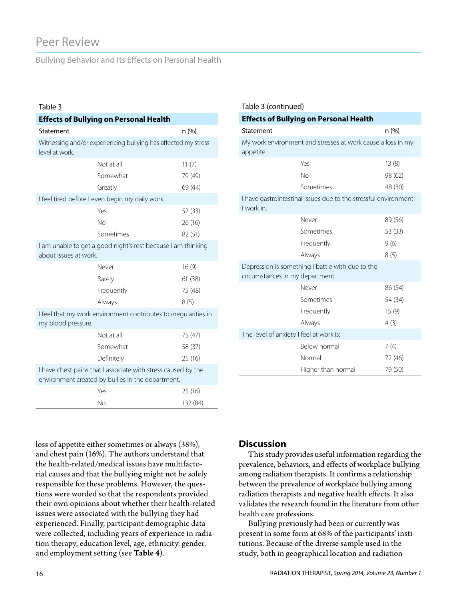# Peer Review

Bullying Behavior and Its Effects on Personal Health

#### Table 3

| <b>Effects of Bullying on Personal Health</b>                                                                      |                                                 |          |  |  |
|--------------------------------------------------------------------------------------------------------------------|-------------------------------------------------|----------|--|--|
| Statement                                                                                                          |                                                 | n(%)     |  |  |
| Witnessing and/or experiencing bullying has affected my stress<br>level at work.                                   |                                                 |          |  |  |
|                                                                                                                    | Not at all                                      | 11(7)    |  |  |
|                                                                                                                    | Somewhat                                        | 79 (49)  |  |  |
|                                                                                                                    | Greatly                                         | 69 (44)  |  |  |
|                                                                                                                    | I feel tired before I even begin my daily work. |          |  |  |
|                                                                                                                    | Yes                                             | 52 (33)  |  |  |
|                                                                                                                    | No                                              | 26(16)   |  |  |
|                                                                                                                    | Sometimes                                       | 82 (51)  |  |  |
| I am unable to get a good night's rest because I am thinking<br>about issues at work.                              |                                                 |          |  |  |
|                                                                                                                    | Never                                           | 16(9)    |  |  |
|                                                                                                                    | Rarely                                          | 61(38)   |  |  |
|                                                                                                                    | Frequently                                      | 75 (48)  |  |  |
|                                                                                                                    | Always                                          | 8(5)     |  |  |
| I feel that my work environment contributes to irregularities in<br>my blood pressure.                             |                                                 |          |  |  |
|                                                                                                                    | Not at all                                      | 75 (47)  |  |  |
|                                                                                                                    | Somewhat                                        | 58 (37)  |  |  |
|                                                                                                                    | Definitely                                      | 25 (16)  |  |  |
| I have chest pains that I associate with stress caused by the<br>environment created by bullies in the department. |                                                 |          |  |  |
|                                                                                                                    | Yes                                             | 25(16)   |  |  |
|                                                                                                                    | No                                              | 132 (84) |  |  |

| Table 3 (continued)                                                                 |                    |         |  |  |
|-------------------------------------------------------------------------------------|--------------------|---------|--|--|
| <b>Effects of Bullying on Personal Health</b>                                       |                    |         |  |  |
| Statement                                                                           |                    | n (%)   |  |  |
| My work environment and stresses at work cause a loss in my<br>appetite.            |                    |         |  |  |
|                                                                                     | Yes                | 13(8)   |  |  |
|                                                                                     | No                 | 98 (62) |  |  |
|                                                                                     | Sometimes          | 48 (30) |  |  |
| I have gastrointestinal issues due to the stressful environment<br>I work in.       |                    |         |  |  |
|                                                                                     | Never              | 89 (56) |  |  |
|                                                                                     | Sometimes          | 53 (33) |  |  |
|                                                                                     | Frequently         | 9(6)    |  |  |
|                                                                                     | Always             | 8(5)    |  |  |
| Depression is something I battle with due to the<br>circumstances in my department. |                    |         |  |  |
|                                                                                     | Never              | 86 (54) |  |  |
|                                                                                     | Sometimes          | 54 (34) |  |  |
|                                                                                     | Frequently         | 15(9)   |  |  |
|                                                                                     | Always             | 4(3)    |  |  |
| The level of anxiety I feel at work is:                                             |                    |         |  |  |
|                                                                                     | Below normal       | 7(4)    |  |  |
|                                                                                     | Normal             | 72 (46) |  |  |
|                                                                                     | Higher than normal | 79 (50) |  |  |

loss of appetite either sometimes or always (38%), and chest pain (16%). The authors understand that the health-related/medical issues have multifactorial causes and that the bullying might not be solely responsible for these problems. However, the questions were worded so that the respondents provided their own opinions about whether their health-related issues were associated with the bullying they had experienced. Finally, participant demographic data were collected, including years of experience in radiation therapy, education level, age, ethnicity, gender, and employment setting (see **Table 4**).

# **Discussion**

This study provides useful information regarding the prevalence, behaviors, and effects of workplace bullying among radiation therapists. It confirms a relationship between the prevalence of workplace bullying among radiation therapists and negative health effects. It also validates the research found in the literature from other health care professions.

Bullying previously had been or currently was present in some form at 68% of the participants' institutions. Because of the diverse sample used in the study, both in geographical location and radiation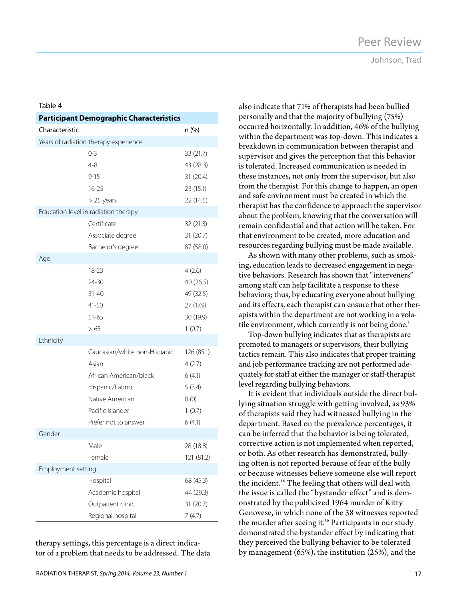#### Table 4

| <b>Participant Demographic Characteristics</b> |                                       |            |  |
|------------------------------------------------|---------------------------------------|------------|--|
| Characteristic                                 |                                       | n (%)      |  |
|                                                | Years of radiation therapy experience |            |  |
|                                                | $0 - 3$                               | 33 (21.7)  |  |
|                                                | $4 - 8$                               | 43 (28.3)  |  |
|                                                | $9 - 15$                              | 31 (20.4)  |  |
|                                                | $16 - 25$                             | 23 (15.1)  |  |
|                                                | > 25 years                            | 22 (14.5)  |  |
| Education level in radiation therapy           |                                       |            |  |
|                                                | Certificate                           | 32 (21.3)  |  |
|                                                | Associate degree                      | 31 (20.7)  |  |
|                                                | Bachelor's degree                     | 87 (58.0)  |  |
| Age                                            |                                       |            |  |
|                                                | $18 - 23$                             | 4(2.6)     |  |
|                                                | 24-30                                 | 40 (26.5)  |  |
|                                                | $31 - 40$                             | 49 (32.5)  |  |
|                                                | $41 - 50$                             | 27 (17.9)  |  |
|                                                | $51 - 65$                             | 30 (19.9)  |  |
|                                                | >65                                   | 1(0.7)     |  |
| Ethnicity                                      |                                       |            |  |
|                                                | Caucasian/white non-Hispanic          | 126 (85.1) |  |
|                                                | Asian                                 | 4(2.7)     |  |
|                                                | African American/black                | 6(4.1)     |  |
|                                                | Hispanic/Latino                       | 5(3.4)     |  |
|                                                | Native American                       | 0(0)       |  |
|                                                | Pacific Islander                      | 1(0.7)     |  |
|                                                | Prefer not to answer                  | 6(4.1)     |  |
| Gender                                         |                                       |            |  |
|                                                | Male                                  | 28 (18.8)  |  |
|                                                | Female                                | 121 (81.2) |  |
| Employment setting                             |                                       |            |  |
|                                                | Hospital                              | 68 (45.3)  |  |
|                                                | Academic hospital                     | 44 (29.3)  |  |
|                                                | Outpatient clinic                     | 31 (20.7)  |  |
|                                                | Regional hospital                     | 7(4.7)     |  |

therapy settings, this percentage is a direct indicator of a problem that needs to be addressed. The data Johnson, Trad

also indicate that 71% of therapists had been bullied personally and that the majority of bullying (75%) occurred horizontally. In addition, 46% of the bullying within the department was top-down. This indicates a breakdown in communication between therapist and supervisor and gives the perception that this behavior is tolerated. Increased communication is needed in these instances, not only from the supervisor, but also from the therapist. For this change to happen, an open and safe environment must be created in which the therapist has the confidence to approach the supervisor about the problem, knowing that the conversation will remain confidential and that action will be taken. For that environment to be created, more education and resources regarding bullying must be made available.

As shown with many other problems, such as smoking, education leads to decreased engagement in negative behaviors. Research has shown that "interveners" among staff can help facilitate a response to these behaviors; thus, by educating everyone about bullying and its effects, each therapist can ensure that other therapists within the department are not working in a volatile environment, which currently is not being done.<sup>1</sup>

Top-down bullying indicates that as therapists are promoted to managers or supervisors, their bullying tactics remain. This also indicates that proper training and job performance tracking are not performed adequately for staff at either the manager or staff-therapist level regarding bullying behaviors.

It is evident that individuals outside the direct bullying situation struggle with getting involved, as 93% of therapists said they had witnessed bullying in the department. Based on the prevalence percentages, it can be inferred that the behavior is being tolerated, corrective action is not implemented when reported, or both. As other research has demonstrated, bullying often is not reported because of fear of the bully or because witnesses believe someone else will report the incident.<sup>16</sup> The feeling that others will deal with the issue is called the "bystander effect" and is demonstrated by the publicized 1964 murder of Kitty Genovese, in which none of the 38 witnesses reported the murder after seeing it.<sup>16</sup> Participants in our study demonstrated the bystander effect by indicating that they perceived the bullying behavior to be tolerated by management (65%), the institution (25%), and the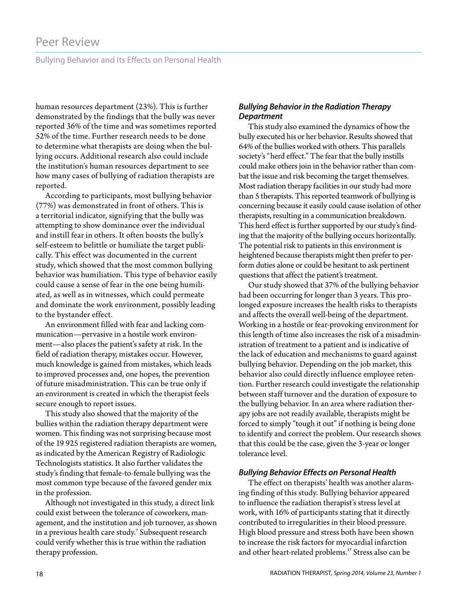Bullying Behavior and Its Effects on Personal Health

human resources department (23%). This is further demonstrated by the findings that the bully was never reported 36% of the time and was sometimes reported 52% of the time. Further research needs to be done to determine what therapists are doing when the bullying occurs. Additional research also could include the institution's human resources department to see how many cases of bullying of radiation therapists are reported.

According to participants, most bullying behavior (77%) was demonstrated in front of others. This is a territorial indicator, signifying that the bully was attempting to show dominance over the individual and instill fear in others. It often boosts the bully's self-esteem to belittle or humiliate the target publically. This effect was documented in the current study, which showed that the most common bullying behavior was humiliation. This type of behavior easily could cause a sense of fear in the one being humiliated, as well as in witnesses, which could permeate and dominate the work environment, possibly leading to the bystander effect.

An environment filled with fear and lacking communication—pervasive in a hostile work environment—also places the patient's safety at risk. In the field of radiation therapy, mistakes occur. However, much knowledge is gained from mistakes, which leads to improved processes and, one hopes, the prevention of future misadministration. This can be true only if an environment is created in which the therapist feels secure enough to report issues.

This study also showed that the majority of the bullies within the radiation therapy department were women. This finding was not surprising because most of the 19 925 registered radiation therapists are women, as indicated by the American Registry of Radiologic Technologists statistics. It also further validates the study's finding that female-to-female bullying was the most common type because of the favored gender mix in the profession.

Although not investigated in this study, a direct link could exist between the tolerance of coworkers, management, and the institution and job turnover, as shown in a previous health care study.<sup>7</sup> Subsequent research could verify whether this is true within the radiation therapy profession.

## *Bullying Behavior in the Radiation Therapy Department*

This study also examined the dynamics of how the bully executed his or her behavior. Results showed that 64% of the bullies worked with others. This parallels society's "herd effect." The fear that the bully instills could make others join in the behavior rather than combat the issue and risk becoming the target themselves. Most radiation therapy facilities in our study had more than 5 therapists. This reported teamwork of bullying is concerning because it easily could cause isolation of other therapists, resulting in a communication breakdown. This herd effect is further supported by our study's finding that the majority of the bullying occurs horizontally. The potential risk to patients in this environment is heightened because therapists might then prefer to perform duties alone or could be hesitant to ask pertinent questions that affect the patient's treatment.

Our study showed that 37% of the bullying behavior had been occurring for longer than 3 years. This prolonged exposure increases the health risks to therapists and affects the overall well-being of the department. Working in a hostile or fear-provoking environment for this length of time also increases the risk of a misadministration of treatment to a patient and is indicative of the lack of education and mechanisms to guard against bullying behavior. Depending on the job market, this behavior also could directly influence employee retention. Further research could investigate the relationship between staff turnover and the duration of exposure to the bullying behavior. In an area where radiation therapy jobs are not readily available, therapists might be forced to simply "tough it out" if nothing is being done to identify and correct the problem. Our research shows that this could be the case, given the 3-year or longer tolerance level.

## *Bullying Behavior Effects on Personal Health*

The effect on therapists' health was another alarming finding of this study. Bullying behavior appeared to influence the radiation therapist's stress level at work, with 16% of participants stating that it directly contributed to irregularities in their blood pressure. High blood pressure and stress both have been shown to increase the risk factors for myocardial infarction and other heart-related problems.<sup>17</sup> Stress also can be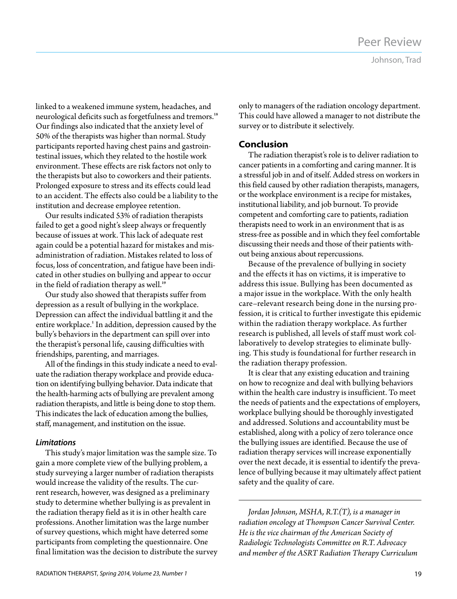linked to a weakened immune system, headaches, and neurological deficits such as forgetfulness and tremors.<sup>18</sup> Our findings also indicated that the anxiety level of 50% of the therapists was higher than normal. Study participants reported having chest pains and gastrointestinal issues, which they related to the hostile work environment. These effects are risk factors not only to the therapists but also to coworkers and their patients. Prolonged exposure to stress and its effects could lead to an accident. The effects also could be a liability to the institution and decrease employee retention.

Our results indicated 53% of radiation therapists failed to get a good night's sleep always or frequently because of issues at work. This lack of adequate rest again could be a potential hazard for mistakes and misadministration of radiation. Mistakes related to loss of focus, loss of concentration, and fatigue have been indicated in other studies on bullying and appear to occur in the field of radiation therapy as well.<sup>19</sup>

Our study also showed that therapists suffer from depression as a result of bullying in the workplace. Depression can affect the individual battling it and the entire workplace.<sup>1</sup> In addition, depression caused by the bully's behaviors in the department can spill over into the therapist's personal life, causing difficulties with friendships, parenting, and marriages.

All of the findings in this study indicate a need to evaluate the radiation therapy workplace and provide education on identifying bullying behavior. Data indicate that the health-harming acts of bullying are prevalent among radiation therapists, and little is being done to stop them. This indicates the lack of education among the bullies, staff, management, and institution on the issue.

# *Limitations*

This study's major limitation was the sample size. To gain a more complete view of the bullying problem, a study surveying a larger number of radiation therapists would increase the validity of the results. The current research, however, was designed as a preliminary study to determine whether bullying is as prevalent in the radiation therapy field as it is in other health care professions. Another limitation was the large number of survey questions, which might have deterred some participants from completing the questionnaire. One final limitation was the decision to distribute the survey only to managers of the radiation oncology department. This could have allowed a manager to not distribute the survey or to distribute it selectively.

# **Conclusion**

The radiation therapist's role is to deliver radiation to cancer patients in a comforting and caring manner. It is a stressful job in and of itself. Added stress on workers in this field caused by other radiation therapists, managers, or the workplace environment is a recipe for mistakes, institutional liability, and job burnout. To provide competent and comforting care to patients, radiation therapists need to work in an environment that is as stress-free as possible and in which they feel comfortable discussing their needs and those of their patients without being anxious about repercussions.

Because of the prevalence of bullying in society and the effects it has on victims, it is imperative to address this issue. Bullying has been documented as a major issue in the workplace. With the only health care–relevant research being done in the nursing profession, it is critical to further investigate this epidemic within the radiation therapy workplace. As further research is published, all levels of staff must work collaboratively to develop strategies to eliminate bullying. This study is foundational for further research in the radiation therapy profession.

It is clear that any existing education and training on how to recognize and deal with bullying behaviors within the health care industry is insufficient. To meet the needs of patients and the expectations of employers, workplace bullying should be thoroughly investigated and addressed. Solutions and accountability must be established, along with a policy of zero tolerance once the bullying issues are identified. Because the use of radiation therapy services will increase exponentially over the next decade, it is essential to identify the prevalence of bullying because it may ultimately affect patient safety and the quality of care.

*Jordan Johnson, MSHA, R.T.(T), is a manager in radiation oncology at Thompson Cancer Survival Center. He is the vice chairman of the American Society of Radiologic Technologists Committee on R.T. Advocacy and member of the ASRT Radiation Therapy Curriculum*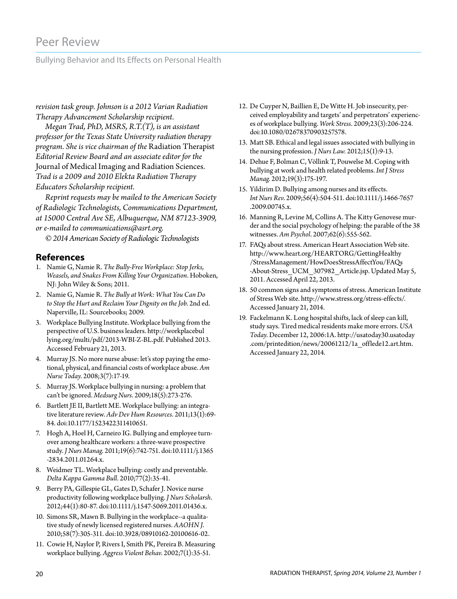# Peer Review

Bullying Behavior and Its Effects on Personal Health

*revision task group. Johnson is a 2012 Varian Radiation Therapy Advancement Scholarship recipient.* 

*Megan Trad, PhD, MSRS, R.T.(T), is an assistant professor for the Texas State University radiation therapy program. She is vice chairman of the* Radiation Therapist *Editorial Review Board and an associate editor for the*  Journal of Medical Imaging and Radiation Sciences*. Trad is a 2009 and 2010 Elekta Radiation Therapy Educators Scholarship recipient.*

*Reprint requests may be mailed to the American Society of Radiologic Technologists, Communications Department, at 15000 Central Ave SE, Albuquerque, NM 87123-3909, or e-mailed to communications@asrt.org.*

*© 2014 American Society of Radiologic Technologists*

## **References**

- 1. Namie G, Namie R. *The Bully-Free Workplace: Stop Jerks, Weasels, and Snakes From Killing Your Organization*. Hoboken, NJ: John Wiley & Sons; 2011.
- 2. Namie G, Namie R. *The Bully at Work: What You Can Do to Stop the Hurt and Reclaim Your Dignity on the Job*. 2nd ed. Naperville, IL: Sourcebooks; 2009.
- 3. Workplace Bullying Institute. Workplace bullying from the perspective of U.S. business leaders. http://workplacebul lying.org/multi/pdf/2013-WBI-Z-BL.pdf. Published 2013. Accessed February 21, 2013.
- 4. Murray JS. No more nurse abuse: let's stop paying the emotional, physical, and financial costs of workplace abuse. *Am Nurse Today*. 2008;3(7):17-19.
- 5. Murray JS. Workplace bullying in nursing: a problem that can't be ignored. *Medsurg Nurs*. 2009;18(5):273-276.
- 6. Bartlett JE II, Bartlett ME. Workplace bullying: an integrative literature review. *Adv Dev Hum Resources*. 2011;13(1):69- 84. doi:10.1177/1523422311410651.
- 7. Hogh A, Hoel H, Carneiro IG. Bullying and employee turnover among healthcare workers: a three-wave prospective study. *J Nurs Manag*. 2011;19(6):742-751. doi:10.1111/j.1365 -2834.2011.01264.x.
- 8. Weidmer TL. Workplace bullying: costly and preventable. *Delta Kappa Gamma Bull*. 2010;77(2):35-41.
- 9. Berry PA, Gillespie GL, Gates D, Schafer J. Novice nurse productivity following workplace bullying. *J Nurs Scholarsh*. 2012;44(1):80-87. doi:10.1111/j.1547-5069.2011.01436.x.
- 10. Simons SR, Mawn B. Bullying in the workplace--a qualitative study of newly licensed registered nurses. *AAOHN J*. 2010;58(7):305-311. doi:10.3928/08910162-20100616-02.
- 11. Cowie H, Naylor P, Rivers I, Smith PK, Pereira B. Measuring workplace bullying. *Aggress Violent Behav*. 2002;7(1):35-51.
- 12. De Cuyper N, Baillien E, De Witte H. Job insecurity, perceived employability and targets' and perpetrators' experiences of workplace bullying. *Work Stress*. 2009;23(3):206-224. doi:10.1080/02678370903257578.
- 13. Matt SB. Ethical and legal issues associated with bullying in the nursing profession. *J Nurs Law.* 2012;15(1):9-13.
- 14. Dehue F, Bolman C, Völlink T, Pouwelse M. Coping with bullying at work and health related problems. *Int J Stress Manag*. 2012;19(3):175-197.
- 15. Yildirim D. Bullying among nurses and its effects. *Int Nurs Rev*. 2009;56(4):504-511. doi:10.1111/j.1466-7657 .2009.00745.x.
- 16. Manning R, Levine M, Collins A. The Kitty Genovese murder and the social psychology of helping: the parable of the 38 witnesses. *Am Psychol*. 2007;62(6):555-562.
- 17. FAQs about stress. American Heart Association Web site. http://www.heart.org/HEARTORG/GettingHealthy /StressManagement/HowDoesStressAffectYou/FAQs -About-Stress\_UCM\_307982\_Article.jsp. Updated May 5, 2011. Accessed April 22, 2013.
- 18. 50 common signs and symptoms of stress. American Institute of Stress Web site. http://www.stress.org/stress-effects/. Accessed January 21, 2014.
- 19. Fackelmann K. Long hospital shifts, lack of sleep can kill, study says. Tired medical residents make more errors. *USA Today*. December 12, 2006:1A. http://usatoday30.usatoday .com/printedition/news/20061212/1a\_offlede12.art.htm. Accessed January 22, 2014.